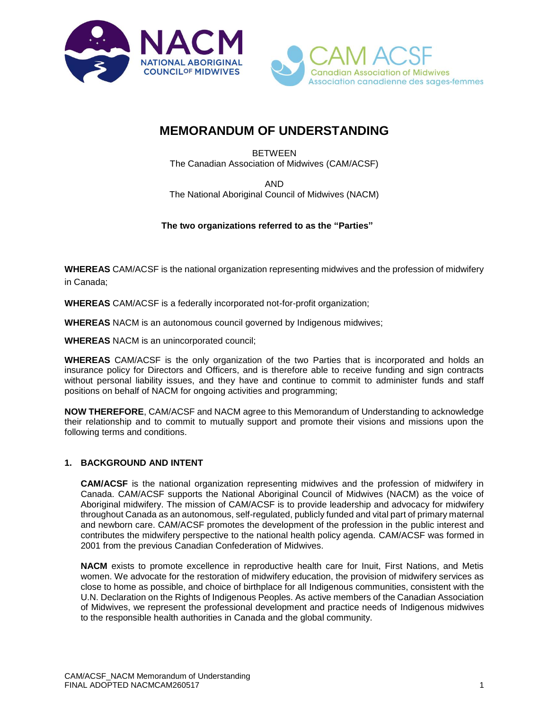



# **MEMORANDUM OF UNDERSTANDING**

BETWEEN The Canadian Association of Midwives (CAM/ACSF)

AND

The National Aboriginal Council of Midwives (NACM)

## **The two organizations referred to as the "Parties"**

**WHEREAS** CAM/ACSF is the national organization representing midwives and the profession of midwifery in Canada;

**WHEREAS** CAM/ACSF is a federally incorporated not-for-profit organization;

**WHEREAS** NACM is an autonomous council governed by Indigenous midwives;

**WHEREAS** NACM is an unincorporated council;

**WHEREAS** CAM/ACSF is the only organization of the two Parties that is incorporated and holds an insurance policy for Directors and Officers, and is therefore able to receive funding and sign contracts without personal liability issues, and they have and continue to commit to administer funds and staff positions on behalf of NACM for ongoing activities and programming;

**NOW THEREFORE**, CAM/ACSF and NACM agree to this Memorandum of Understanding to acknowledge their relationship and to commit to mutually support and promote their visions and missions upon the following terms and conditions.

## **1. BACKGROUND AND INTENT**

**CAM/ACSF** is the national organization representing midwives and the profession of midwifery in Canada. CAM/ACSF supports the National Aboriginal Council of Midwives (NACM) as the voice of Aboriginal midwifery. The mission of CAM/ACSF is to provide leadership and advocacy for midwifery throughout Canada as an autonomous, self-regulated, publicly funded and vital part of primary maternal and newborn care. CAM/ACSF promotes the development of the profession in the public interest and contributes the midwifery perspective to the national health policy agenda. CAM/ACSF was formed in 2001 from the previous Canadian Confederation of Midwives.

**NACM** exists to promote excellence in reproductive health care for Inuit, First Nations, and Metis women. We advocate for the restoration of midwifery education, the provision of midwifery services as close to home as possible, and choice of birthplace for all Indigenous communities, consistent with the U.N. Declaration on the Rights of Indigenous Peoples. As active members of the Canadian Association of Midwives, we represent the professional development and practice needs of Indigenous midwives to the responsible health authorities in Canada and the global community.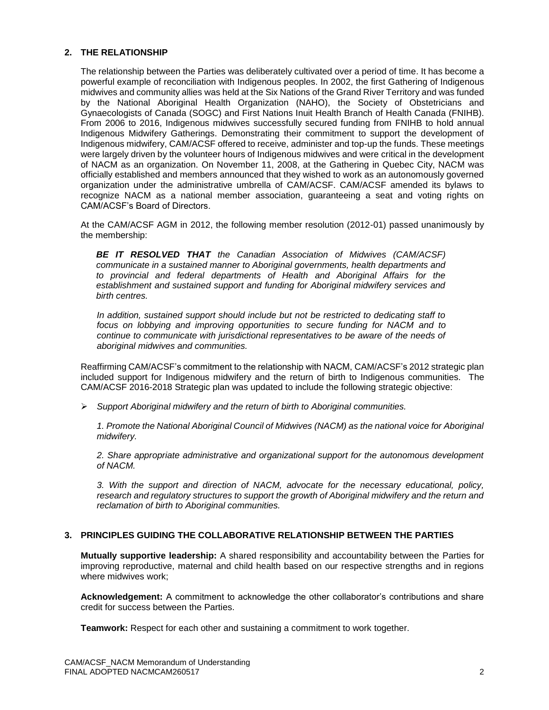## **2. THE RELATIONSHIP**

The relationship between the Parties was deliberately cultivated over a period of time. It has become a powerful example of reconciliation with Indigenous peoples. In 2002, the first Gathering of Indigenous midwives and community allies was held at the Six Nations of the Grand River Territory and was funded by the National Aboriginal Health Organization (NAHO), the Society of Obstetricians and Gynaecologists of Canada (SOGC) and First Nations Inuit Health Branch of Health Canada (FNIHB). From 2006 to 2016, Indigenous midwives successfully secured funding from FNIHB to hold annual Indigenous Midwifery Gatherings. Demonstrating their commitment to support the development of Indigenous midwifery, CAM/ACSF offered to receive, administer and top-up the funds. These meetings were largely driven by the volunteer hours of Indigenous midwives and were critical in the development of NACM as an organization. On November 11, 2008, at the Gathering in Quebec City, NACM was officially established and members announced that they wished to work as an autonomously governed organization under the administrative umbrella of CAM/ACSF. CAM/ACSF amended its bylaws to recognize NACM as a national member association, guaranteeing a seat and voting rights on CAM/ACSF's Board of Directors.

At the CAM/ACSF AGM in 2012, the following member resolution (2012-01) passed unanimously by the membership:

*BE IT RESOLVED THAT the Canadian Association of Midwives (CAM/ACSF) communicate in a sustained manner to Aboriginal governments, health departments and to provincial and federal departments of Health and Aboriginal Affairs for the establishment and sustained support and funding for Aboriginal midwifery services and birth centres.*

*In addition, sustained support should include but not be restricted to dedicating staff to focus on lobbying and improving opportunities to secure funding for NACM and to continue to communicate with jurisdictional representatives to be aware of the needs of aboriginal midwives and communities.*

Reaffirming CAM/ACSF's commitment to the relationship with NACM, CAM/ACSF's 2012 strategic plan included support for Indigenous midwifery and the return of birth to Indigenous communities. The CAM/ACSF 2016-2018 Strategic plan was updated to include the following strategic objective:

➢ *Support Aboriginal midwifery and the return of birth to Aboriginal communities.*

*1. Promote the National Aboriginal Council of Midwives (NACM) as the national voice for Aboriginal midwifery.*

*2. Share appropriate administrative and organizational support for the autonomous development of NACM.*

*3. With the support and direction of NACM, advocate for the necessary educational, policy, research and regulatory structures to support the growth of Aboriginal midwifery and the return and reclamation of birth to Aboriginal communities.*

#### **3. PRINCIPLES GUIDING THE COLLABORATIVE RELATIONSHIP BETWEEN THE PARTIES**

**Mutually supportive leadership:** A shared responsibility and accountability between the Parties for improving reproductive, maternal and child health based on our respective strengths and in regions where midwives work;

**Acknowledgement:** A commitment to acknowledge the other collaborator's contributions and share credit for success between the Parties.

**Teamwork:** Respect for each other and sustaining a commitment to work together.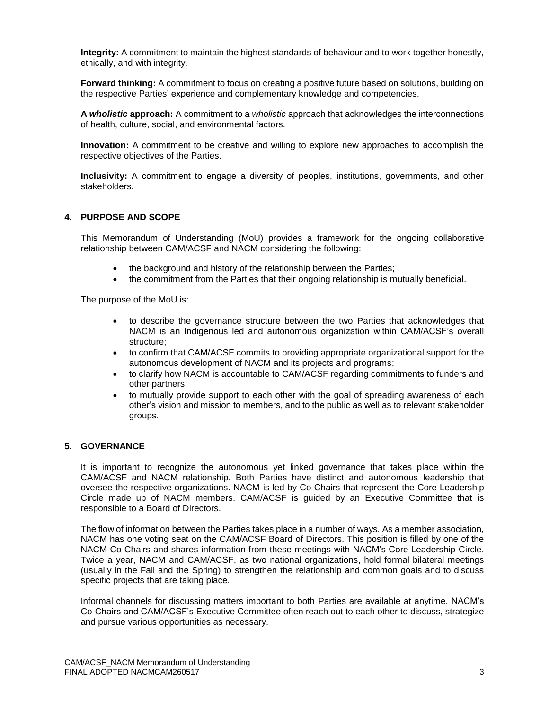**Integrity:** A commitment to maintain the highest standards of behaviour and to work together honestly, ethically, and with integrity.

**Forward thinking:** A commitment to focus on creating a positive future based on solutions, building on the respective Parties' experience and complementary knowledge and competencies.

**A** *wholistic* **approach:** A commitment to a *wholistic* approach that acknowledges the interconnections of health, culture, social, and environmental factors.

**Innovation:** A commitment to be creative and willing to explore new approaches to accomplish the respective objectives of the Parties.

**Inclusivity:** A commitment to engage a diversity of peoples, institutions, governments, and other stakeholders.

## **4. PURPOSE AND SCOPE**

This Memorandum of Understanding (MoU) provides a framework for the ongoing collaborative relationship between CAM/ACSF and NACM considering the following:

- the background and history of the relationship between the Parties;
- the commitment from the Parties that their ongoing relationship is mutually beneficial.

The purpose of the MoU is:

- to describe the governance structure between the two Parties that acknowledges that NACM is an Indigenous led and autonomous organization within CAM/ACSF's overall structure;
- to confirm that CAM/ACSF commits to providing appropriate organizational support for the autonomous development of NACM and its projects and programs;
- to clarify how NACM is accountable to CAM/ACSF regarding commitments to funders and other partners;
- to mutually provide support to each other with the goal of spreading awareness of each other's vision and mission to members, and to the public as well as to relevant stakeholder groups.

## **5. GOVERNANCE**

It is important to recognize the autonomous yet linked governance that takes place within the CAM/ACSF and NACM relationship. Both Parties have distinct and autonomous leadership that oversee the respective organizations. NACM is led by Co-Chairs that represent the Core Leadership Circle made up of NACM members. CAM/ACSF is guided by an Executive Committee that is responsible to a Board of Directors.

The flow of information between the Parties takes place in a number of ways. As a member association, NACM has one voting seat on the CAM/ACSF Board of Directors. This position is filled by one of the NACM Co-Chairs and shares information from these meetings with NACM's Core Leadership Circle. Twice a year, NACM and CAM/ACSF, as two national organizations, hold formal bilateral meetings (usually in the Fall and the Spring) to strengthen the relationship and common goals and to discuss specific projects that are taking place.

Informal channels for discussing matters important to both Parties are available at anytime. NACM's Co-Chairs and CAM/ACSF's Executive Committee often reach out to each other to discuss, strategize and pursue various opportunities as necessary.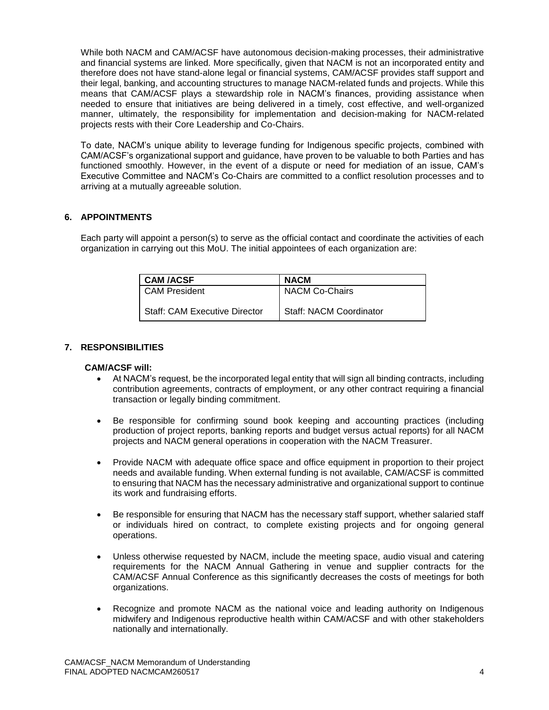While both NACM and CAM/ACSF have autonomous decision-making processes, their administrative and financial systems are linked. More specifically, given that NACM is not an incorporated entity and therefore does not have stand-alone legal or financial systems, CAM/ACSF provides staff support and their legal, banking, and accounting structures to manage NACM-related funds and projects. While this means that CAM/ACSF plays a stewardship role in NACM's finances, providing assistance when needed to ensure that initiatives are being delivered in a timely, cost effective, and well-organized manner, ultimately, the responsibility for implementation and decision-making for NACM-related projects rests with their Core Leadership and Co-Chairs.

To date, NACM's unique ability to leverage funding for Indigenous specific projects, combined with CAM/ACSF's organizational support and guidance, have proven to be valuable to both Parties and has functioned smoothly. However, in the event of a dispute or need for mediation of an issue, CAM's Executive Committee and NACM's Co-Chairs are committed to a conflict resolution processes and to arriving at a mutually agreeable solution.

## **6. APPOINTMENTS**

Each party will appoint a person(s) to serve as the official contact and coordinate the activities of each organization in carrying out this MoU. The initial appointees of each organization are:

| <b>CAM /ACSF</b>                     | <b>NACM</b>                    |
|--------------------------------------|--------------------------------|
| <b>CAM President</b>                 | <b>NACM Co-Chairs</b>          |
| <b>Staff: CAM Executive Director</b> | <b>Staff: NACM Coordinator</b> |

## **7. RESPONSIBILITIES**

## **CAM/ACSF will:**

- At NACM's request, be the incorporated legal entity that will sign all binding contracts, including contribution agreements, contracts of employment, or any other contract requiring a financial transaction or legally binding commitment.
- Be responsible for confirming sound book keeping and accounting practices (including production of project reports, banking reports and budget versus actual reports) for all NACM projects and NACM general operations in cooperation with the NACM Treasurer.
- Provide NACM with adequate office space and office equipment in proportion to their project needs and available funding. When external funding is not available, CAM/ACSF is committed to ensuring that NACM has the necessary administrative and organizational support to continue its work and fundraising efforts.
- Be responsible for ensuring that NACM has the necessary staff support, whether salaried staff or individuals hired on contract, to complete existing projects and for ongoing general operations.
- Unless otherwise requested by NACM, include the meeting space, audio visual and catering requirements for the NACM Annual Gathering in venue and supplier contracts for the CAM/ACSF Annual Conference as this significantly decreases the costs of meetings for both organizations.
- Recognize and promote NACM as the national voice and leading authority on Indigenous midwifery and Indigenous reproductive health within CAM/ACSF and with other stakeholders nationally and internationally.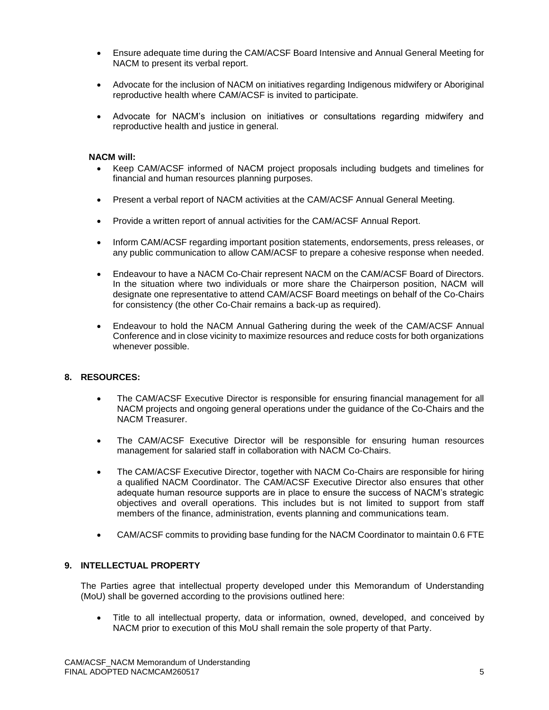- Ensure adequate time during the CAM/ACSF Board Intensive and Annual General Meeting for NACM to present its verbal report.
- Advocate for the inclusion of NACM on initiatives regarding Indigenous midwifery or Aboriginal reproductive health where CAM/ACSF is invited to participate.
- Advocate for NACM's inclusion on initiatives or consultations regarding midwifery and reproductive health and justice in general.

## **NACM will:**

- Keep CAM/ACSF informed of NACM project proposals including budgets and timelines for financial and human resources planning purposes.
- Present a verbal report of NACM activities at the CAM/ACSF Annual General Meeting.
- Provide a written report of annual activities for the CAM/ACSF Annual Report.
- Inform CAM/ACSF regarding important position statements, endorsements, press releases, or any public communication to allow CAM/ACSF to prepare a cohesive response when needed.
- Endeavour to have a NACM Co-Chair represent NACM on the CAM/ACSF Board of Directors. In the situation where two individuals or more share the Chairperson position, NACM will designate one representative to attend CAM/ACSF Board meetings on behalf of the Co-Chairs for consistency (the other Co-Chair remains a back-up as required).
- Endeavour to hold the NACM Annual Gathering during the week of the CAM/ACSF Annual Conference and in close vicinity to maximize resources and reduce costs for both organizations whenever possible.

## **8. RESOURCES:**

- The CAM/ACSF Executive Director is responsible for ensuring financial management for all NACM projects and ongoing general operations under the guidance of the Co-Chairs and the NACM Treasurer.
- The CAM/ACSF Executive Director will be responsible for ensuring human resources management for salaried staff in collaboration with NACM Co-Chairs.
- The CAM/ACSF Executive Director, together with NACM Co-Chairs are responsible for hiring a qualified NACM Coordinator. The CAM/ACSF Executive Director also ensures that other adequate human resource supports are in place to ensure the success of NACM's strategic objectives and overall operations. This includes but is not limited to support from staff members of the finance, administration, events planning and communications team.
- CAM/ACSF commits to providing base funding for the NACM Coordinator to maintain 0.6 FTE

#### **9. INTELLECTUAL PROPERTY**

The Parties agree that intellectual property developed under this Memorandum of Understanding (MoU) shall be governed according to the provisions outlined here:

• Title to all intellectual property, data or information, owned, developed, and conceived by NACM prior to execution of this MoU shall remain the sole property of that Party.